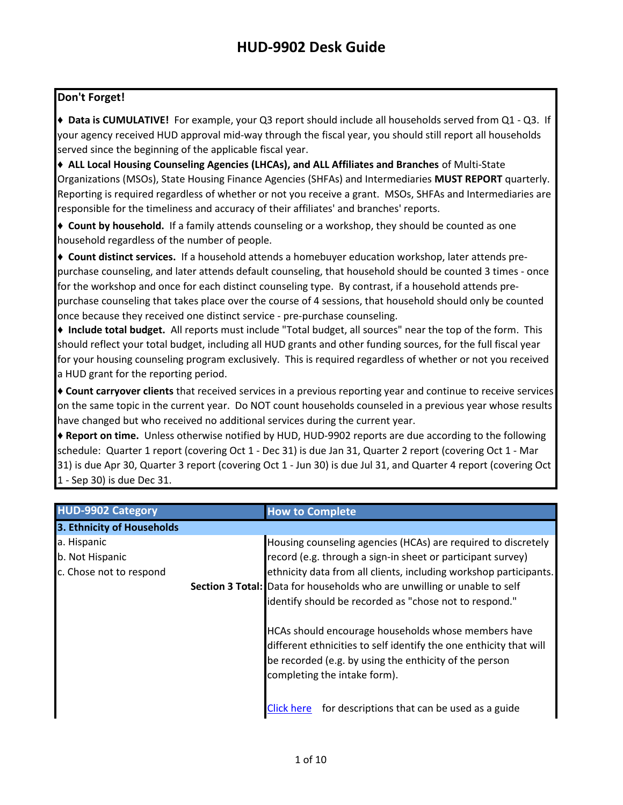#### **Don't Forget!**

**♦ Data is CUMULATIVE!** For example, your Q3 report should include all households served from Q1 - Q3. If your agency received HUD approval mid-way through the fiscal year, you should still report all households served since the beginning of the applicable fiscal year.

**♦ ALL Local Housing Counseling Agencies (LHCAs), and ALL Affiliates and Branches** of Multi-State Organizations (MSOs), State Housing Finance Agencies (SHFAs) and Intermediaries **MUST REPORT** quarterly. Reporting is required regardless of whether or not you receive a grant. MSOs, SHFAs and Intermediaries are responsible for the timeliness and accuracy of their affiliates' and branches' reports.

**♦ Count by household.** If a family attends counseling or a workshop, they should be counted as one household regardless of the number of people.

**♦ Count distinct services.** If a household attends a homebuyer education workshop, later attends prepurchase counseling, and later attends default counseling, that household should be counted 3 times - once for the workshop and once for each distinct counseling type. By contrast, if a household attends prepurchase counseling that takes place over the course of 4 sessions, that household should only be counted once because they received one distinct service - pre-purchase counseling.

**♦ Include total budget.** All reports must include "Total budget, all sources" near the top of the form. This should reflect your total budget, including all HUD grants and other funding sources, for the full fiscal year for your housing counseling program exclusively. This is required regardless of whether or not you received a HUD grant for the reporting period.

**♦ Count carryover clients** that received services in a previous reporting year and continue to receive services on the same topic in the current year. Do NOT count households counseled in a previous year whose results have changed but who received no additional services during the current year.

♦ **Report on time.** Unless otherwise notified by HUD, HUD-9902 reports are due according to the following schedule: Quarter 1 report (covering Oct 1 - Dec 31) is due Jan 31, Quarter 2 report (covering Oct 1 - Mar 31) is due Apr 30, Quarter 3 report (covering Oct 1 - Jun 30) is due Jul 31, and Quarter 4 report (covering Oct 1 - Sep 30) is due Dec 31.

| <b>HUD-9902 Category</b>                                  | <b>How to Complete</b>                                                                                                                                                                                              |
|-----------------------------------------------------------|---------------------------------------------------------------------------------------------------------------------------------------------------------------------------------------------------------------------|
| 3. Ethnicity of Households                                |                                                                                                                                                                                                                     |
| a. Hispanic<br>b. Not Hispanic<br>c. Chose not to respond | Housing counseling agencies (HCAs) are required to discretely<br>record (e.g. through a sign-in sheet or participant survey)<br>ethnicity data from all clients, including workshop participants.                   |
|                                                           | Section 3 Total: Data for households who are unwilling or unable to self<br>identify should be recorded as "chose not to respond."                                                                                  |
|                                                           | HCAs should encourage households whose members have<br>different ethnicities to self identify the one enthicity that will<br>be recorded (e.g. by using the enthicity of the person<br>completing the intake form). |
|                                                           | for descriptions that can be used as a guide<br><b>Click here</b>                                                                                                                                                   |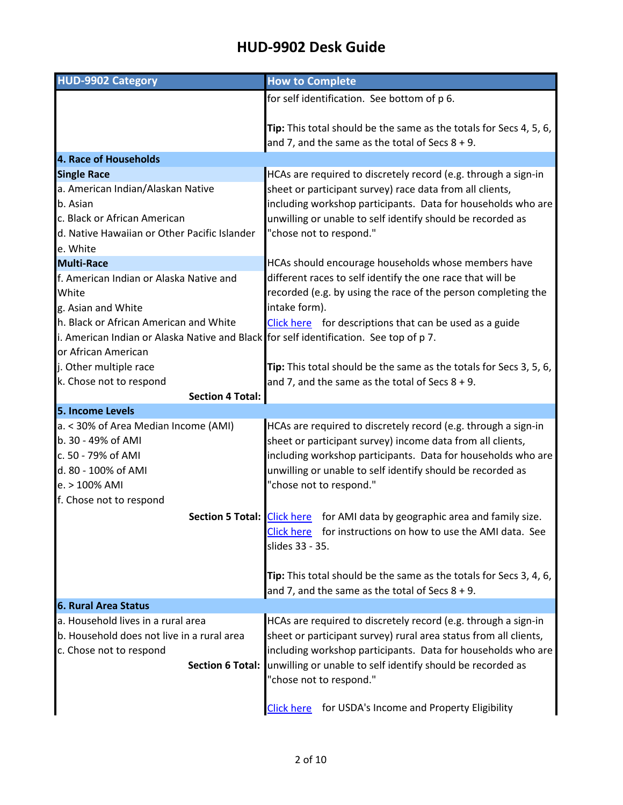| <b>HUD-9902 Category</b>                                                                                      | <b>How to Complete</b>                                                                                                   |
|---------------------------------------------------------------------------------------------------------------|--------------------------------------------------------------------------------------------------------------------------|
|                                                                                                               | for self identification. See bottom of p 6.                                                                              |
|                                                                                                               |                                                                                                                          |
|                                                                                                               | Tip: This total should be the same as the totals for Secs 4, 5, 6,                                                       |
|                                                                                                               | and 7, and the same as the total of Secs $8 + 9$ .                                                                       |
| 4. Race of Households                                                                                         |                                                                                                                          |
| <b>Single Race</b>                                                                                            | HCAs are required to discretely record (e.g. through a sign-in                                                           |
| a. American Indian/Alaskan Native                                                                             | sheet or participant survey) race data from all clients,                                                                 |
| b. Asian                                                                                                      | including workshop participants. Data for households who are                                                             |
| c. Black or African American                                                                                  | unwilling or unable to self identify should be recorded as                                                               |
| d. Native Hawaiian or Other Pacific Islander                                                                  | "chose not to respond."                                                                                                  |
| e. White                                                                                                      |                                                                                                                          |
| <b>Multi-Race</b>                                                                                             | HCAs should encourage households whose members have                                                                      |
| f. American Indian or Alaska Native and                                                                       | different races to self identify the one race that will be                                                               |
| White                                                                                                         | recorded (e.g. by using the race of the person completing the                                                            |
| g. Asian and White                                                                                            | intake form).                                                                                                            |
| h. Black or African American and White                                                                        | Click here for descriptions that can be used as a guide                                                                  |
| i. American Indian or Alaska Native and Black for self identification. See top of p 7.<br>or African American |                                                                                                                          |
| j. Other multiple race                                                                                        |                                                                                                                          |
| k. Chose not to respond                                                                                       | Tip: This total should be the same as the totals for Secs 3, 5, 6,<br>and 7, and the same as the total of Secs $8 + 9$ . |
| <b>Section 4 Total:</b>                                                                                       |                                                                                                                          |
| 5. Income Levels                                                                                              |                                                                                                                          |
| a. < 30% of Area Median Income (AMI)                                                                          | HCAs are required to discretely record (e.g. through a sign-in                                                           |
| b. 30 - 49% of AMI                                                                                            | sheet or participant survey) income data from all clients,                                                               |
| c. 50 - 79% of AMI                                                                                            | including workshop participants. Data for households who are                                                             |
| d. 80 - 100% of AMI                                                                                           | unwilling or unable to self identify should be recorded as                                                               |
| e. > 100% AMI                                                                                                 | "chose not to respond."                                                                                                  |
| f. Chose not to respond                                                                                       |                                                                                                                          |
|                                                                                                               | Section 5 Total: Click here for AMI data by geographic area and family size.                                             |
|                                                                                                               | Click here<br>for instructions on how to use the AMI data. See                                                           |
|                                                                                                               | slides 33 - 35.                                                                                                          |
|                                                                                                               |                                                                                                                          |
|                                                                                                               | Tip: This total should be the same as the totals for Secs 3, 4, 6,                                                       |
|                                                                                                               | and 7, and the same as the total of Secs $8 + 9$ .                                                                       |
| <b>6. Rural Area Status</b>                                                                                   |                                                                                                                          |
| a. Household lives in a rural area                                                                            | HCAs are required to discretely record (e.g. through a sign-in                                                           |
| b. Household does not live in a rural area                                                                    | sheet or participant survey) rural area status from all clients,                                                         |
| c. Chose not to respond                                                                                       | including workshop participants. Data for households who are                                                             |
| <b>Section 6 Total:</b>                                                                                       | unwilling or unable to self identify should be recorded as                                                               |
|                                                                                                               | "chose not to respond."                                                                                                  |
|                                                                                                               |                                                                                                                          |
|                                                                                                               | for USDA's Income and Property Eligibility<br><b>Click here</b>                                                          |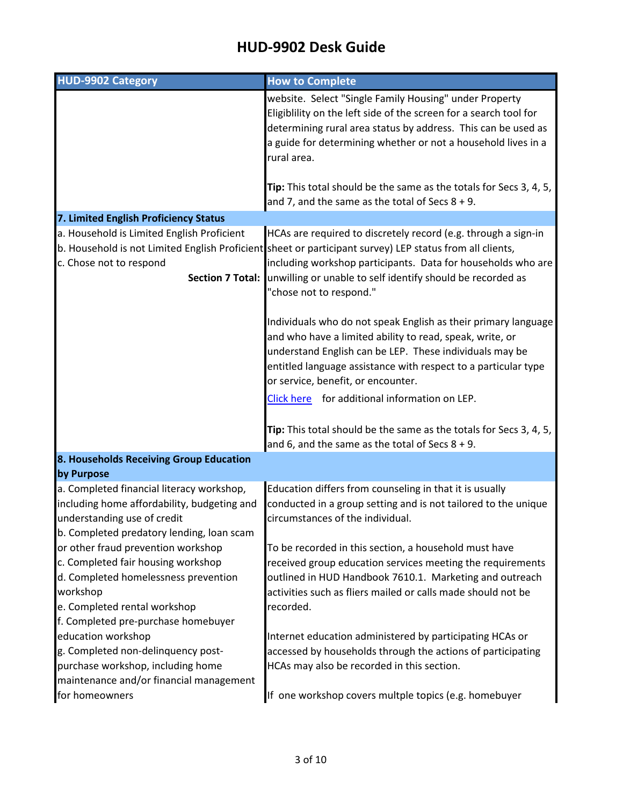| <b>HUD-9902 Category</b>                                                                                                                                                                            | <b>How to Complete</b>                                                                                                                                                                                                                                                                                                                               |
|-----------------------------------------------------------------------------------------------------------------------------------------------------------------------------------------------------|------------------------------------------------------------------------------------------------------------------------------------------------------------------------------------------------------------------------------------------------------------------------------------------------------------------------------------------------------|
|                                                                                                                                                                                                     | website. Select "Single Family Housing" under Property<br>Eligiblility on the left side of the screen for a search tool for<br>determining rural area status by address. This can be used as<br>a guide for determining whether or not a household lives in a<br>rural area.<br>Tip: This total should be the same as the totals for Secs 3, 4, 5,   |
|                                                                                                                                                                                                     | and 7, and the same as the total of Secs $8 + 9$ .                                                                                                                                                                                                                                                                                                   |
| 7. Limited English Proficiency Status                                                                                                                                                               |                                                                                                                                                                                                                                                                                                                                                      |
| a. Household is Limited English Proficient<br>c. Chose not to respond                                                                                                                               | HCAs are required to discretely record (e.g. through a sign-in<br>b. Household is not Limited English Proficient sheet or participant survey) LEP status from all clients,<br>including workshop participants. Data for households who are<br>Section 7 Total: unwilling or unable to self identify should be recorded as<br>"chose not to respond." |
|                                                                                                                                                                                                     | Individuals who do not speak English as their primary language<br>and who have a limited ability to read, speak, write, or<br>understand English can be LEP. These individuals may be<br>entitled language assistance with respect to a particular type<br>or service, benefit, or encounter.                                                        |
|                                                                                                                                                                                                     | Click here for additional information on LEP.                                                                                                                                                                                                                                                                                                        |
|                                                                                                                                                                                                     | Tip: This total should be the same as the totals for Secs 3, 4, 5,<br>and 6, and the same as the total of Secs $8 + 9$ .                                                                                                                                                                                                                             |
| 8. Households Receiving Group Education                                                                                                                                                             |                                                                                                                                                                                                                                                                                                                                                      |
| by Purpose                                                                                                                                                                                          |                                                                                                                                                                                                                                                                                                                                                      |
| a. Completed financial literacy workshop,<br>including home affordability, budgeting and<br>understanding use of credit<br>b. Completed predatory lending, loan scam                                | Education differs from counseling in that it is usually<br>conducted in a group setting and is not tailored to the unique<br>circumstances of the individual.                                                                                                                                                                                        |
| or other fraud prevention workshop<br>c. Completed fair housing workshop<br>d. Completed homelessness prevention<br>workshop<br>e. Completed rental workshop<br>f. Completed pre-purchase homebuyer | To be recorded in this section, a household must have<br>received group education services meeting the requirements<br>outlined in HUD Handbook 7610.1. Marketing and outreach<br>activities such as fliers mailed or calls made should not be<br>recorded.                                                                                          |
| education workshop<br>g. Completed non-delinquency post-<br>purchase workshop, including home<br>maintenance and/or financial management                                                            | Internet education administered by participating HCAs or<br>accessed by households through the actions of participating<br>HCAs may also be recorded in this section.                                                                                                                                                                                |
| for homeowners                                                                                                                                                                                      | If one workshop covers multple topics (e.g. homebuyer                                                                                                                                                                                                                                                                                                |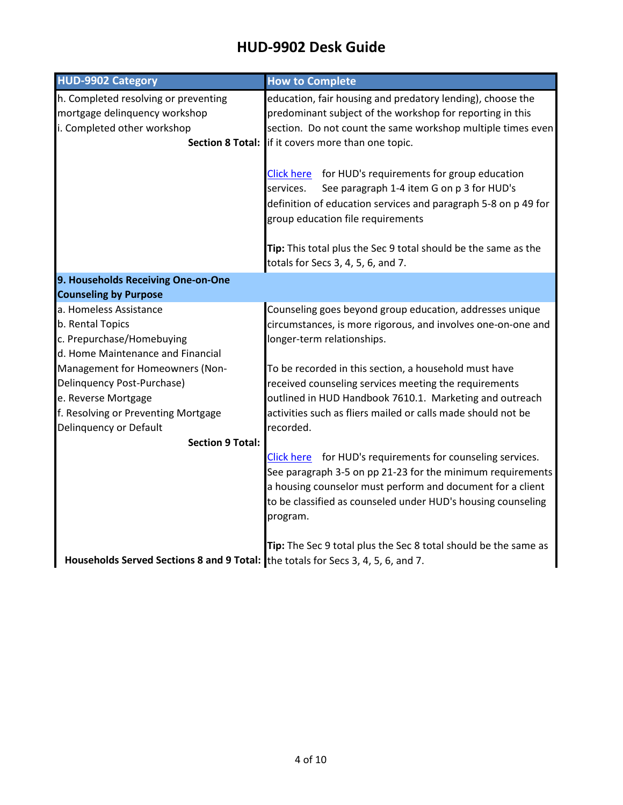#### **HUD-9902 Desk Guide** JJUZ DUJN UMIUC

| <b>HUD-9902 Category</b>                                                                             | <b>How to Complete</b>                                                                                                                                                                                                                                             |
|------------------------------------------------------------------------------------------------------|--------------------------------------------------------------------------------------------------------------------------------------------------------------------------------------------------------------------------------------------------------------------|
| h. Completed resolving or preventing<br>mortgage delinquency workshop<br>i. Completed other workshop | education, fair housing and predatory lending), choose the<br>predominant subject of the workshop for reporting in this<br>section. Do not count the same workshop multiple times even<br>Section 8 Total: if it covers more than one topic.                       |
|                                                                                                      | Click here for HUD's requirements for group education<br>services.<br>See paragraph 1-4 item G on p 3 for HUD's<br>definition of education services and paragraph 5-8 on p 49 for<br>group education file requirements                                             |
|                                                                                                      | Tip: This total plus the Sec 9 total should be the same as the<br>totals for Secs 3, 4, 5, 6, and 7.                                                                                                                                                               |
| 9. Households Receiving One-on-One                                                                   |                                                                                                                                                                                                                                                                    |
| <b>Counseling by Purpose</b>                                                                         |                                                                                                                                                                                                                                                                    |
| a. Homeless Assistance<br>b. Rental Topics                                                           | Counseling goes beyond group education, addresses unique<br>circumstances, is more rigorous, and involves one-on-one and                                                                                                                                           |
| c. Prepurchase/Homebuying                                                                            | longer-term relationships.                                                                                                                                                                                                                                         |
| d. Home Maintenance and Financial                                                                    |                                                                                                                                                                                                                                                                    |
| Management for Homeowners (Non-                                                                      | To be recorded in this section, a household must have                                                                                                                                                                                                              |
| Delinquency Post-Purchase)                                                                           | received counseling services meeting the requirements                                                                                                                                                                                                              |
| e. Reverse Mortgage                                                                                  | outlined in HUD Handbook 7610.1. Marketing and outreach                                                                                                                                                                                                            |
| f. Resolving or Preventing Mortgage                                                                  | activities such as fliers mailed or calls made should not be                                                                                                                                                                                                       |
| Delinquency or Default                                                                               | recorded.                                                                                                                                                                                                                                                          |
| <b>Section 9 Total:</b>                                                                              |                                                                                                                                                                                                                                                                    |
|                                                                                                      | Click here for HUD's requirements for counseling services.<br>See paragraph 3-5 on pp 21-23 for the minimum requirements<br>a housing counselor must perform and document for a client<br>to be classified as counseled under HUD's housing counseling<br>program. |
| Households Served Sections 8 and 9 Total: the totals for Secs 3, 4, 5, 6, and 7.                     | Tip: The Sec 9 total plus the Sec 8 total should be the same as                                                                                                                                                                                                    |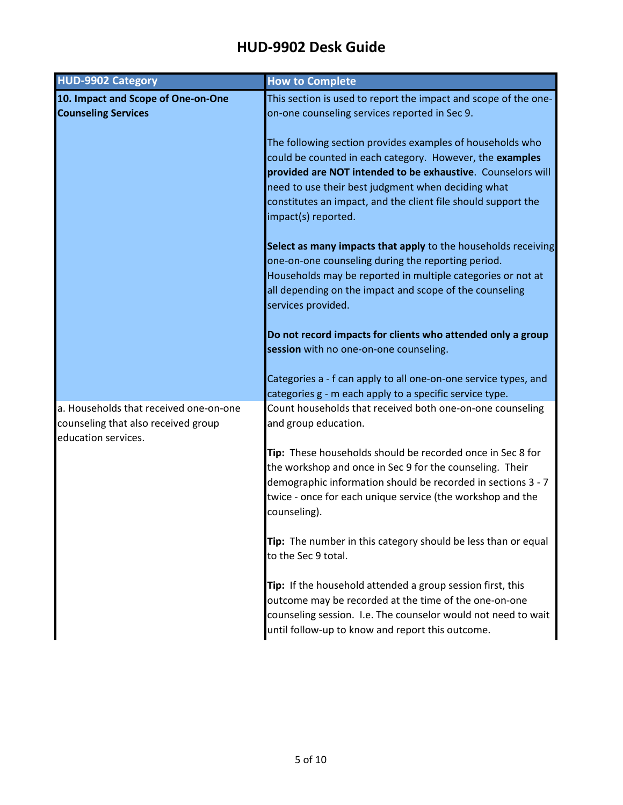| <b>HUD-9902 Category</b>                                                                             | <b>How to Complete</b>                                                                                                                                                                                                                                                                                                             |
|------------------------------------------------------------------------------------------------------|------------------------------------------------------------------------------------------------------------------------------------------------------------------------------------------------------------------------------------------------------------------------------------------------------------------------------------|
| 10. Impact and Scope of One-on-One<br><b>Counseling Services</b>                                     | This section is used to report the impact and scope of the one-<br>on-one counseling services reported in Sec 9.                                                                                                                                                                                                                   |
|                                                                                                      | The following section provides examples of households who<br>could be counted in each category. However, the examples<br>provided are NOT intended to be exhaustive. Counselors will<br>need to use their best judgment when deciding what<br>constitutes an impact, and the client file should support the<br>impact(s) reported. |
|                                                                                                      | Select as many impacts that apply to the households receiving<br>one-on-one counseling during the reporting period.<br>Households may be reported in multiple categories or not at<br>all depending on the impact and scope of the counseling<br>services provided.                                                                |
|                                                                                                      | Do not record impacts for clients who attended only a group<br>session with no one-on-one counseling.                                                                                                                                                                                                                              |
|                                                                                                      | Categories a - f can apply to all one-on-one service types, and<br>categories g - m each apply to a specific service type.                                                                                                                                                                                                         |
| a. Households that received one-on-one<br>counseling that also received group<br>education services. | Count households that received both one-on-one counseling<br>and group education.                                                                                                                                                                                                                                                  |
|                                                                                                      | Tip: These households should be recorded once in Sec 8 for<br>the workshop and once in Sec 9 for the counseling. Their<br>demographic information should be recorded in sections 3 - 7<br>twice - once for each unique service (the workshop and the<br>counseling).                                                               |
|                                                                                                      | Tip: The number in this category should be less than or equal<br>to the Sec 9 total.                                                                                                                                                                                                                                               |
|                                                                                                      | Tip: If the household attended a group session first, this<br>outcome may be recorded at the time of the one-on-one<br>counseling session. I.e. The counselor would not need to wait<br>until follow-up to know and report this outcome.                                                                                           |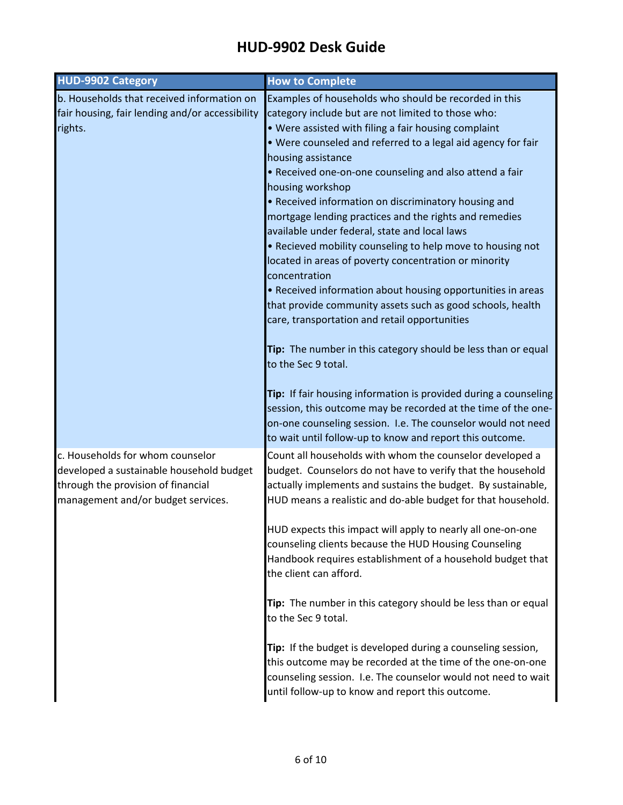| <b>HUD-9902 Category</b>                        | <b>How to Complete</b>                                                 |
|-------------------------------------------------|------------------------------------------------------------------------|
| b. Households that received information on      | Examples of households who should be recorded in this                  |
| fair housing, fair lending and/or accessibility | category include but are not limited to those who:                     |
| rights.                                         | . Were assisted with filing a fair housing complaint                   |
|                                                 | . Were counseled and referred to a legal aid agency for fair           |
|                                                 | housing assistance                                                     |
|                                                 | . Received one-on-one counseling and also attend a fair                |
|                                                 | housing workshop                                                       |
|                                                 | • Received information on discriminatory housing and                   |
|                                                 | mortgage lending practices and the rights and remedies                 |
|                                                 | available under federal, state and local laws                          |
|                                                 | . Recieved mobility counseling to help move to housing not             |
|                                                 | located in areas of poverty concentration or minority<br>concentration |
|                                                 | • Received information about housing opportunities in areas            |
|                                                 | that provide community assets such as good schools, health             |
|                                                 | care, transportation and retail opportunities                          |
|                                                 |                                                                        |
|                                                 | Tip: The number in this category should be less than or equal          |
|                                                 | to the Sec 9 total.                                                    |
|                                                 |                                                                        |
|                                                 | Tip: If fair housing information is provided during a counseling       |
|                                                 | session, this outcome may be recorded at the time of the one-          |
|                                                 | on-one counseling session. I.e. The counselor would not need           |
|                                                 | to wait until follow-up to know and report this outcome.               |
| c. Households for whom counselor                | Count all households with whom the counselor developed a               |
| developed a sustainable household budget        | budget. Counselors do not have to verify that the household            |
| through the provision of financial              | actually implements and sustains the budget. By sustainable,           |
| management and/or budget services.              | HUD means a realistic and do-able budget for that household.           |
|                                                 | HUD expects this impact will apply to nearly all one-on-one            |
|                                                 | counseling clients because the HUD Housing Counseling                  |
|                                                 | Handbook requires establishment of a household budget that             |
|                                                 | the client can afford.                                                 |
|                                                 |                                                                        |
|                                                 | Tip: The number in this category should be less than or equal          |
|                                                 | to the Sec 9 total.                                                    |
|                                                 |                                                                        |
|                                                 | Tip: If the budget is developed during a counseling session,           |
|                                                 | this outcome may be recorded at the time of the one-on-one             |
|                                                 | counseling session. I.e. The counselor would not need to wait          |
|                                                 | until follow-up to know and report this outcome.                       |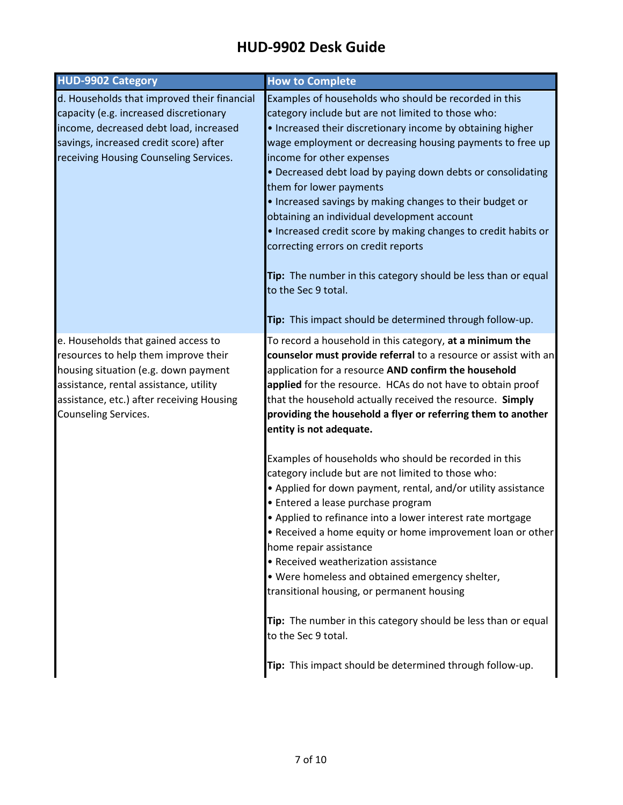| <b>HUD-9902 Category</b>                                                                                                                                                                                                           | <b>How to Complete</b>                                                                                                                                                                                                                                                                                                                                                                                                                                                                                                                                                                                                                                                                                                                |
|------------------------------------------------------------------------------------------------------------------------------------------------------------------------------------------------------------------------------------|---------------------------------------------------------------------------------------------------------------------------------------------------------------------------------------------------------------------------------------------------------------------------------------------------------------------------------------------------------------------------------------------------------------------------------------------------------------------------------------------------------------------------------------------------------------------------------------------------------------------------------------------------------------------------------------------------------------------------------------|
| d. Households that improved their financial<br>capacity (e.g. increased discretionary<br>income, decreased debt load, increased<br>savings, increased credit score) after<br>receiving Housing Counseling Services.                | Examples of households who should be recorded in this<br>category include but are not limited to those who:<br>• Increased their discretionary income by obtaining higher<br>wage employment or decreasing housing payments to free up<br>income for other expenses<br>• Decreased debt load by paying down debts or consolidating<br>them for lower payments<br>. Increased savings by making changes to their budget or<br>obtaining an individual development account<br>. Increased credit score by making changes to credit habits or<br>correcting errors on credit reports<br>Tip: The number in this category should be less than or equal<br>to the Sec 9 total.<br>Tip: This impact should be determined through follow-up. |
| e. Households that gained access to<br>resources to help them improve their<br>housing situation (e.g. down payment<br>assistance, rental assistance, utility<br>assistance, etc.) after receiving Housing<br>Counseling Services. | To record a household in this category, at a minimum the<br>counselor must provide referral to a resource or assist with an<br>application for a resource AND confirm the household<br>applied for the resource. HCAs do not have to obtain proof<br>that the household actually received the resource. Simply<br>providing the household a flyer or referring them to another<br>entity is not adequate.                                                                                                                                                                                                                                                                                                                             |
|                                                                                                                                                                                                                                    | Examples of households who should be recorded in this<br>category include but are not limited to those who:<br>• Applied for down payment, rental, and/or utility assistance<br>· Entered a lease purchase program<br>• Applied to refinance into a lower interest rate mortgage<br>• Received a home equity or home improvement loan or other<br>home repair assistance<br>• Received weatherization assistance<br>. Were homeless and obtained emergency shelter,<br>transitional housing, or permanent housing<br>Tip: The number in this category should be less than or equal                                                                                                                                                    |
|                                                                                                                                                                                                                                    | to the Sec 9 total.<br>Tip: This impact should be determined through follow-up.                                                                                                                                                                                                                                                                                                                                                                                                                                                                                                                                                                                                                                                       |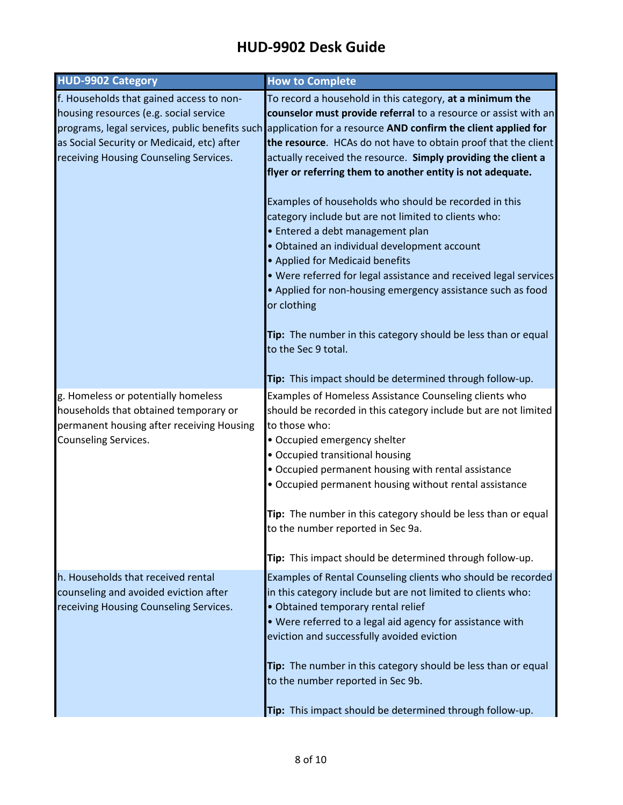| <b>HUD-9902 Category</b>                   | <b>How to Complete</b>                                                                                        |
|--------------------------------------------|---------------------------------------------------------------------------------------------------------------|
| f. Households that gained access to non-   | To record a household in this category, at a minimum the                                                      |
| housing resources (e.g. social service     | counselor must provide referral to a resource or assist with an                                               |
|                                            | programs, legal services, public benefits such application for a resource AND confirm the client applied for  |
| as Social Security or Medicaid, etc) after | the resource. HCAs do not have to obtain proof that the client                                                |
| receiving Housing Counseling Services.     | actually received the resource. Simply providing the client a                                                 |
|                                            | flyer or referring them to another entity is not adequate.                                                    |
|                                            |                                                                                                               |
|                                            | Examples of households who should be recorded in this                                                         |
|                                            | category include but are not limited to clients who:                                                          |
|                                            | • Entered a debt management plan                                                                              |
|                                            | · Obtained an individual development account<br>• Applied for Medicaid benefits                               |
|                                            | . Were referred for legal assistance and received legal services                                              |
|                                            | • Applied for non-housing emergency assistance such as food                                                   |
|                                            | or clothing                                                                                                   |
|                                            |                                                                                                               |
|                                            | Tip: The number in this category should be less than or equal                                                 |
|                                            | to the Sec 9 total.                                                                                           |
|                                            |                                                                                                               |
|                                            | Tip: This impact should be determined through follow-up.                                                      |
| g. Homeless or potentially homeless        | Examples of Homeless Assistance Counseling clients who                                                        |
| households that obtained temporary or      | should be recorded in this category include but are not limited                                               |
| permanent housing after receiving Housing  | to those who:                                                                                                 |
| Counseling Services.                       | • Occupied emergency shelter                                                                                  |
|                                            | • Occupied transitional housing                                                                               |
|                                            | • Occupied permanent housing with rental assistance<br>• Occupied permanent housing without rental assistance |
|                                            |                                                                                                               |
|                                            | Tip: The number in this category should be less than or equal                                                 |
|                                            | to the number reported in Sec 9a.                                                                             |
|                                            |                                                                                                               |
|                                            | Tip: This impact should be determined through follow-up.                                                      |
| h. Households that received rental         | Examples of Rental Counseling clients who should be recorded                                                  |
| counseling and avoided eviction after      | in this category include but are not limited to clients who:                                                  |
| receiving Housing Counseling Services.     | · Obtained temporary rental relief                                                                            |
|                                            | • Were referred to a legal aid agency for assistance with                                                     |
|                                            | eviction and successfully avoided eviction                                                                    |
|                                            | Tip: The number in this category should be less than or equal                                                 |
|                                            | to the number reported in Sec 9b.                                                                             |
|                                            |                                                                                                               |
|                                            | Tip: This impact should be determined through follow-up.                                                      |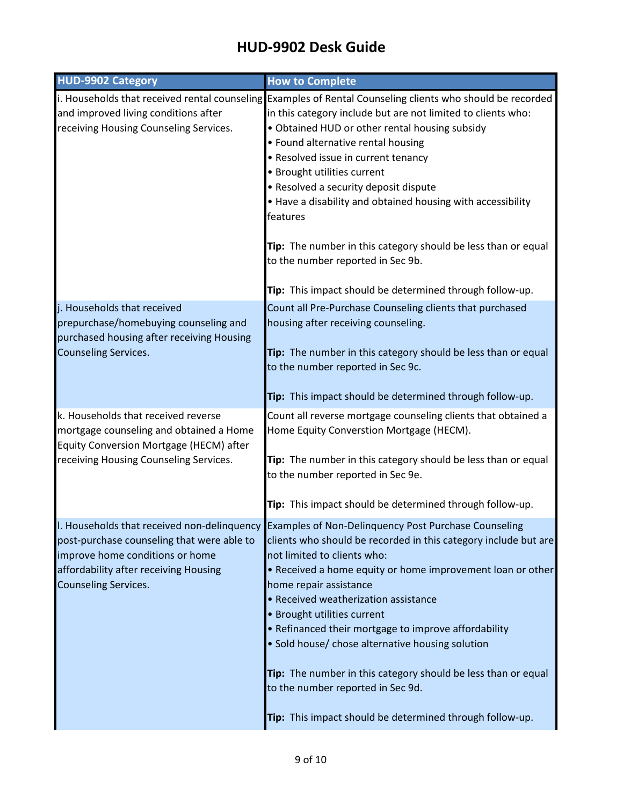| <b>HUD-9902 Category</b>                                                                                                  | <b>How to Complete</b>                                                                                                                                              |
|---------------------------------------------------------------------------------------------------------------------------|---------------------------------------------------------------------------------------------------------------------------------------------------------------------|
|                                                                                                                           | i. Households that received rental counseling Examples of Rental Counseling clients who should be recorded                                                          |
| and improved living conditions after                                                                                      | in this category include but are not limited to clients who:                                                                                                        |
| receiving Housing Counseling Services.                                                                                    | • Obtained HUD or other rental housing subsidy                                                                                                                      |
|                                                                                                                           | • Found alternative rental housing                                                                                                                                  |
|                                                                                                                           | • Resolved issue in current tenancy                                                                                                                                 |
|                                                                                                                           | • Brought utilities current                                                                                                                                         |
|                                                                                                                           | • Resolved a security deposit dispute                                                                                                                               |
|                                                                                                                           | • Have a disability and obtained housing with accessibility<br>features                                                                                             |
|                                                                                                                           | Tip: The number in this category should be less than or equal<br>to the number reported in Sec 9b.                                                                  |
|                                                                                                                           | Tip: This impact should be determined through follow-up.                                                                                                            |
| j. Households that received<br>prepurchase/homebuying counseling and<br>purchased housing after receiving Housing         | Count all Pre-Purchase Counseling clients that purchased<br>housing after receiving counseling.                                                                     |
| <b>Counseling Services.</b>                                                                                               | Tip: The number in this category should be less than or equal<br>to the number reported in Sec 9c.                                                                  |
|                                                                                                                           | Tip: This impact should be determined through follow-up.                                                                                                            |
| k. Households that received reverse<br>mortgage counseling and obtained a Home<br>Equity Conversion Mortgage (HECM) after | Count all reverse mortgage counseling clients that obtained a<br>Home Equity Converstion Mortgage (HECM).                                                           |
| receiving Housing Counseling Services.                                                                                    | Tip: The number in this category should be less than or equal<br>to the number reported in Sec 9e.                                                                  |
|                                                                                                                           | Tip: This impact should be determined through follow-up.                                                                                                            |
| post-purchase counseling that were able to                                                                                | I. Households that received non-delinguency Examples of Non-Delinguency Post Purchase Counseling<br>clients who should be recorded in this category include but are |
| improve home conditions or home<br>affordability after receiving Housing<br><b>Counseling Services.</b>                   | not limited to clients who:<br>• Received a home equity or home improvement loan or other<br>home repair assistance                                                 |
|                                                                                                                           | • Received weatherization assistance                                                                                                                                |
|                                                                                                                           | • Brought utilities current                                                                                                                                         |
|                                                                                                                           | • Refinanced their mortgage to improve affordability<br>• Sold house/ chose alternative housing solution                                                            |
|                                                                                                                           | Tip: The number in this category should be less than or equal<br>to the number reported in Sec 9d.                                                                  |
|                                                                                                                           | Tip: This impact should be determined through follow-up.                                                                                                            |